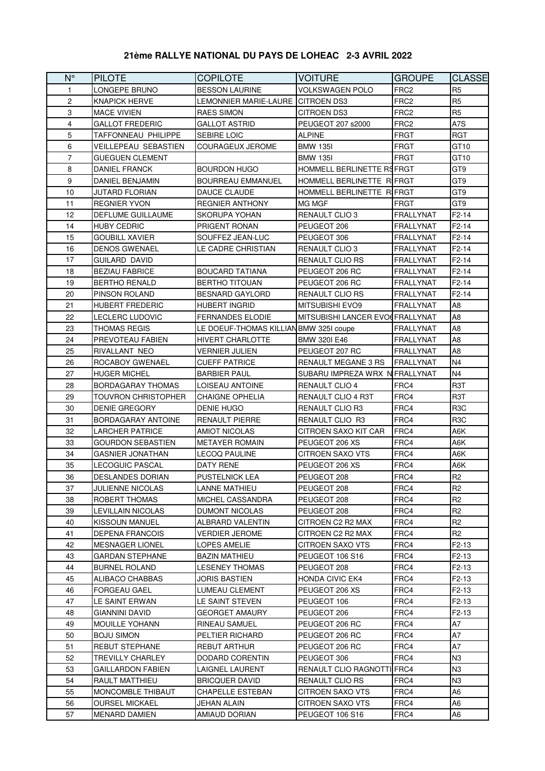## **21ème RALLYE NATIONAL DU PAYS DE LOHEAC 2-3 AVRIL 2022**

| $N^{\circ}$    | <b>PILOTE</b>              | <b>COPILOTE</b>                        | <b>VOITURE</b>                  | <b>GROUPE</b>      | <b>CLASSE</b>      |
|----------------|----------------------------|----------------------------------------|---------------------------------|--------------------|--------------------|
| 1              | LONGEPE BRUNO              | <b>BESSON LAURINE</b>                  | <b>VOLKSWAGEN POLO</b>          | FRC2               | R <sub>5</sub>     |
| 2              | <b>KNAPICK HERVE</b>       | LEMONNIER MARIE-LAURE CITROEN DS3      |                                 | FRC <sub>2</sub>   | R5                 |
| 3              | <b>MACE VIVIEN</b>         | <b>RAES SIMON</b>                      | CITROEN DS3                     | FRC <sub>2</sub>   | R <sub>5</sub>     |
| $\overline{4}$ | GALLOT FREDERIC            | GALLOT ASTRID                          | PEUGEOT 207 s2000               | FRC <sub>2</sub>   | A7S                |
| 5              | TAFFONNEAU PHILIPPE        | <b>SEBIRE LOIC</b>                     | <b>ALPINE</b>                   | FRGT               | RGT                |
| 6              | VEILLEPEAU SEBASTIEN       | <b>COURAGEUX JEROME</b>                | <b>BMW 135I</b>                 | FRGT               | GT10               |
| $\overline{7}$ | GUEGUEN CLEMENT            |                                        | <b>BMW 135I</b>                 | <b>FRGT</b>        | GT10               |
| 8              | <b>DANIEL FRANCK</b>       | <b>BOURDON HUGO</b>                    | HOMMELL BERLINETTE REFRGT       |                    | GT9                |
| 9              | <b>DANIEL BENJAMIN</b>     | <b>BOURREAU EMMANUEL</b>               | HOMMELL BERLINETTE RIFRGT       |                    | GT9                |
| 10             | <b>JUTARD FLORIAN</b>      | DAUCE CLAUDE                           | HOMMELL BERLINETTE RIFRGT       |                    | GT9                |
| 11             | <b>REGNIER YVON</b>        | <b>REGNIER ANTHONY</b>                 | <b>MG MGF</b>                   | <b>FRGT</b>        | GT <sub>9</sub>    |
| 12             | DEFLUME GUILLAUME          | <b>SKORUPA YOHAN</b>                   | <b>RENAULT CLIO 3</b>           | FRALLYNAT          | $F2-14$            |
| 14             | <b>HUBY CEDRIC</b>         | <b>PRIGENT RONAN</b>                   | PEUGEOT 206                     | FRALLYNAT          | $F2-14$            |
| 15             | <b>GOUBILL XAVIER</b>      | SOUFFEZ JEAN-LUC                       | PEUGEOT 306                     | FRALLYNAT          | $F2-14$            |
| 16             | DENOS GWENAEL              | LE CADRE CHRISTIAN                     | <b>RENAULT CLIO 3</b>           | FRALLYNAT          | F2-14              |
| 17             | GUILARD DAVID              |                                        | <b>RENAULT CLIO RS</b>          | FRALLYNAT          | F <sub>2</sub> -14 |
| 18             | <b>BEZIAU FABRICE</b>      | <b>BOUCARD TATIANA</b>                 | PEUGEOT 206 RC                  | FRALLYNAT          | F <sub>2</sub> -14 |
| 19             | <b>BERTHO RENALD</b>       | <b>BERTHO TITOUAN</b>                  | PEUGEOT 206 RC                  | FRALLYNAT          | F <sub>2</sub> -14 |
| 20             | PINSON ROLAND              | <b>BESNARD GAYLORD</b>                 | RENAULT CLIO RS                 | FRALLYNAT          | F2-14              |
| 21             | HUBERT FREDERIC            | <b>HUBERT INGRID</b>                   | <b>MITSUBISHI EVO9</b>          | FRALLYNAT          | A8                 |
| 22             | LECLERC LUDOVIC            | <b>FERNANDES ELODIE</b>                | MITSUBISHI LANCER EVO FRALLYNAT |                    | A8                 |
| 23             | THOMAS REGIS               | LE DOEUF-THOMAS KILLIAN BMW 325I coupe |                                 | FRALLYNAT          | A8                 |
| 24             | PREVOTEAU FABIEN           | <b>HIVERT CHARLOTTE</b>                | <b>BMW 3201 E46</b>             | FRALLYNAT          | A8                 |
| 25             | RIVALLANT NEO              | VERNIER JULIEN                         | PEUGEOT 207 RC                  | FRALLYNAT          | A8                 |
| 26             | ROCABOY GWENAEL            | <b>CUEFF PATRICE</b>                   | RENAULT MEGANE 3 RS             | <b>I</b> FRALLYNAT | N4                 |
| 27             | HUGER MICHEL               | <b>BARBIER PAUL</b>                    | SUBARU IMPREZA WRX N FRALLYNAT  |                    | N4                 |
| 28             | BORDAGARAY THOMAS          | LOISEAU ANTOINE                        | <b>RENAULT CLIO 4</b>           | FRC4               | R3T                |
| 29             | <b>TOUVRON CHRISTOPHER</b> | <b>CHAIGNE OPHELIA</b>                 | <b>RENAULT CLIO 4 R3T</b>       | FRC4               | R <sub>3</sub> T   |
| 30             | DENIE GREGORY              | <b>DENIE HUGO</b>                      | <b>RENAULT CLIO R3</b>          | FRC4               | R <sub>3</sub> C   |
| 31             | BORDAGARAY ANTOINE         | <b>RENAULT PIERRE</b>                  | <b>RENAULT CLIO R3</b>          | FRC4               | R <sub>3</sub> C   |
| 32             | LARCHER PATRICE            | AMIOT NICOLAS                          | CITROEN SAXO KIT CAR            | FRC4               | A6K                |
| 33             | GOURDON SEBASTIEN          | <b>METAYER ROMAIN</b>                  | PEUGEOT 206 XS                  | FRC4               | A6K                |
| 34             | GASNIER JONATHAN           | LECOQ PAULINE                          | CITROEN SAXO VTS                | FRC4               | A6K                |
| 35             | LECOGUIC PASCAL            | DATY RENE                              | PEUGEOT 206 XS                  | FRC4               | A6K                |
| 36             | DESLANDES DORIAN           | <b>PUSTELNICK LEA</b>                  | PEUGEOT 208                     | FRC4               | R <sub>2</sub>     |
| 37             | JULIENNE NICOLAS           | LANNE MATHIEU                          | PEUGEOT 208                     | FRC4               | R <sub>2</sub>     |
| 38             | ROBERT THOMAS              | MICHEL CASSANDRA                       | PEUGEOT 208                     | FRC4               | R <sub>2</sub>     |
| 39             | LEVILLAIN NICOLAS          | DUMONT NICOLAS                         | PEUGEOT 208                     | FRC4               | R2                 |
| 40             | KISSOUN MANUEL             | ALBRARD VALENTIN                       | CITROEN C2 R2 MAX               | FRC4               | R2                 |
| 41             | DEPENA FRANCOIS            | <b>VERDIER JEROME</b>                  | CITROEN C2 R2 MAX               | FRC4               | R <sub>2</sub>     |
| 42             | <b>MESNAGER LIONEL</b>     | LOPES AMELIE                           | CITROEN SAXO VTS                | FRC4               | $F2-13$            |
| 43             | GARDAN STEPHANE            | <b>BAZIN MATHIEU</b>                   | PEUGEOT 106 S16                 | FRC4               | F2-13              |
| 44             | <b>BURNEL ROLAND</b>       | <b>LESENEY THOMAS</b>                  | PEUGEOT 208                     | FRC4               | F2-13              |
| 45             | ALIBACO CHABBAS            | JORIS BASTIEN                          | <b>HONDA CIVIC EK4</b>          | FRC4               | F <sub>2</sub> -13 |
| 46             | <b>FORGEAU GAEL</b>        | LUMEAU CLEMENT                         | PEUGEOT 206 XS                  | FRC4               | F <sub>2</sub> -13 |
| 47             | LE SAINT ERWAN             | LE SAINT STEVEN                        | PEUGEOT 106                     | FRC4               | F2-13              |
| 48             | GIANNINI DAVID             | GEORGET AMAURY                         | PEUGEOT 206                     | FRC4               | F2-13              |
| 49             | MOUILLE YOHANN             | RINEAU SAMUEL                          | PEUGEOT 206 RC                  | FRC4               | А7                 |
| 50             | BOJU SIMON                 | PELTIER RICHARD                        | PEUGEOT 206 RC                  | FRC4               | A7                 |
| 51             | REBUT STEPHANE             | REBUT ARTHUR                           | PEUGEOT 206 RC                  | FRC4               | А7                 |
| 52             | <b>TREVILLY CHARLEY</b>    | DODARD CORENTIN                        | PEUGEOT 306                     | FRC4               | N3                 |
| 53             | GAILLARDON FABIEN          | LAIGNEL LAURENT                        | RENAULT CLIO RAGNOTTI FRC4      |                    | N3                 |
| 54             | RAULT MATTHIEU             | <b>BRICQUER DAVID</b>                  | RENAULT CLIO RS                 | FRC4               | N3.                |
| 55             | MONCOMBLE THIBAUT          | CHAPELLE ESTEBAN                       | CITROEN SAXO VTS                | FRC4               | A6                 |
| 56             | <b>OURSEL MICKAEL</b>      | JEHAN ALAIN                            | <b>CITROEN SAXO VTS</b>         | FRC4               | A6                 |
| 57             | MENARD DAMIEN              | AMIAUD DORIAN                          | PEUGEOT 106 S16                 | FRC4               | A6                 |